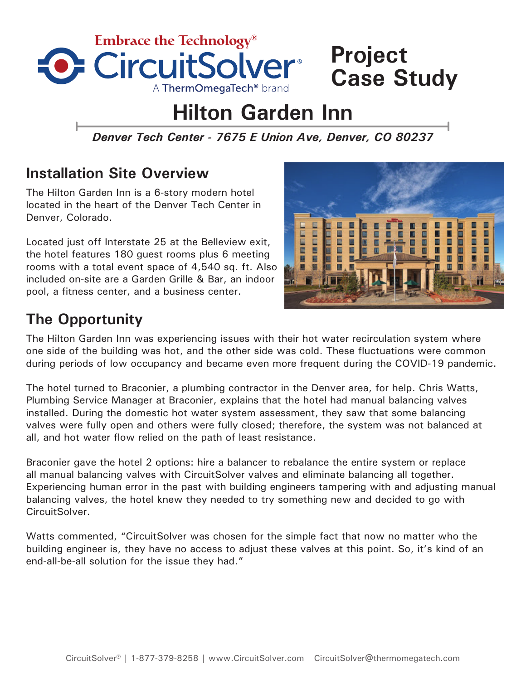

# **Project Case Study**

# **Hilton Garden Inn**

*Denver Tech Center - 7675 E Union Ave, Denver, CO 80237*

## **Installation Site Overview**

The Hilton Garden Inn is a 6-story modern hotel located in the heart of the Denver Tech Center in Denver, Colorado.

Located just off Interstate 25 at the Belleview exit, the hotel features 180 guest rooms plus 6 meeting rooms with a total event space of 4,540 sq. ft. Also included on-site are a Garden Grille & Bar, an indoor pool, a fitness center, and a business center.

#### in an 医肠腔切开 目目 西南西區 医口口 Ō ■ E

# **The Opportunity**

The Hilton Garden Inn was experiencing issues with their hot water recirculation system where one side of the building was hot, and the other side was cold. These fluctuations were common during periods of low occupancy and became even more frequent during the COVID-19 pandemic.

The hotel turned to Braconier, a plumbing contractor in the Denver area, for help. Chris Watts, Plumbing Service Manager at Braconier, explains that the hotel had manual balancing valves installed. During the domestic hot water system assessment, they saw that some balancing valves were fully open and others were fully closed; therefore, the system was not balanced at all, and hot water flow relied on the path of least resistance.

Braconier gave the hotel 2 options: hire a balancer to rebalance the entire system or replace all manual balancing valves with CircuitSolver valves and eliminate balancing all together. Experiencing human error in the past with building engineers tampering with and adjusting manual balancing valves, the hotel knew they needed to try something new and decided to go with CircuitSolver.

Watts commented, "CircuitSolver was chosen for the simple fact that now no matter who the building engineer is, they have no access to adjust these valves at this point. So, it's kind of an end-all-be-all solution for the issue they had."